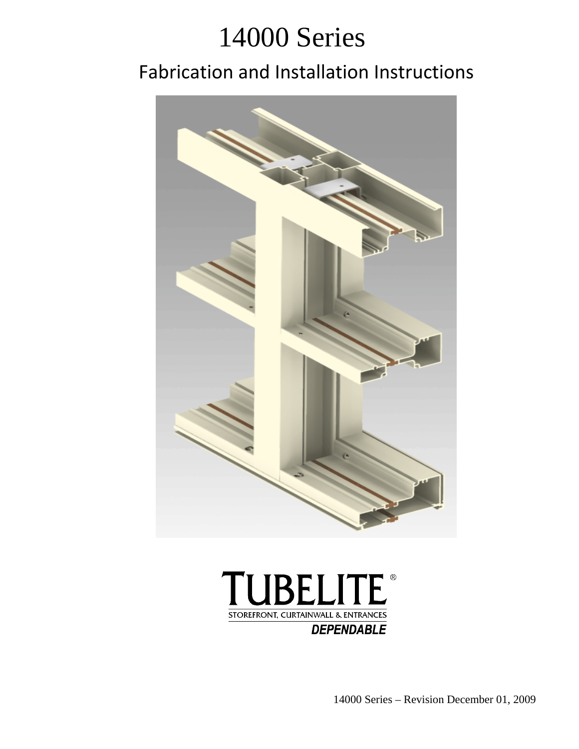# 14000 Series

## Fabrication and Installation Instructions





14000 Series – Revision December 01, 2009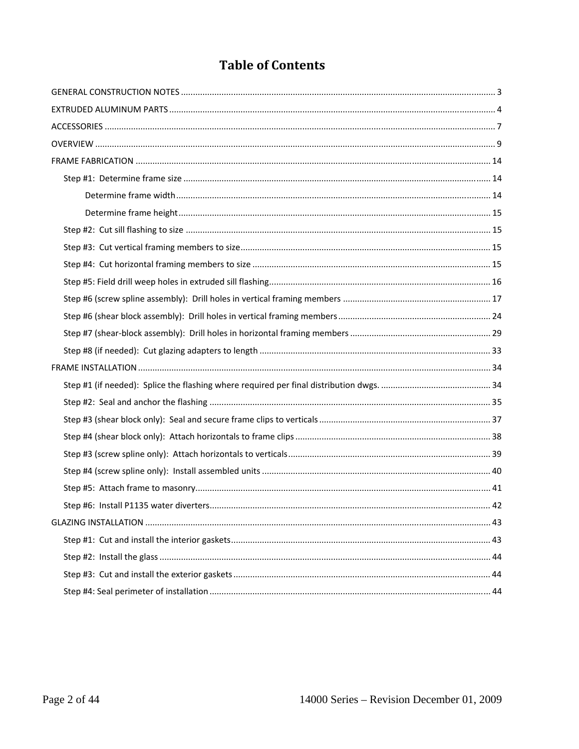## **Table of Contents**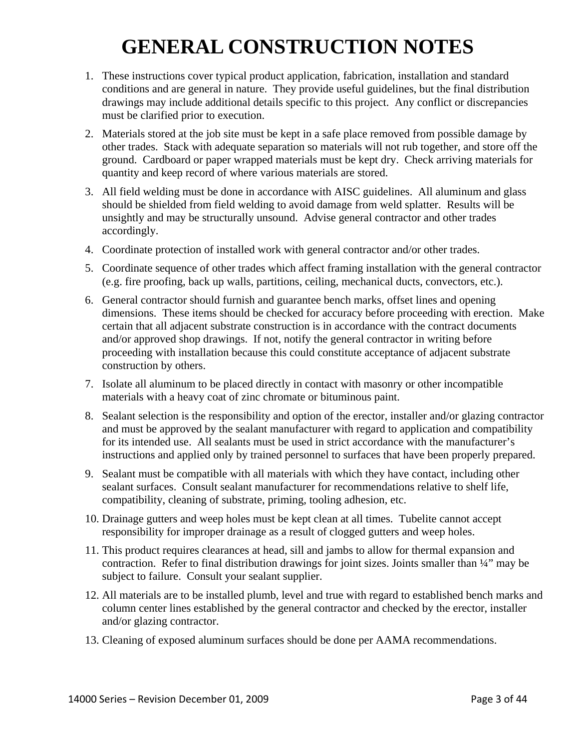## **GENERAL CONSTRUCTION NOTES**

- 1. These instructions cover typical product application, fabrication, installation and standard conditions and are general in nature. They provide useful guidelines, but the final distribution drawings may include additional details specific to this project. Any conflict or discrepancies must be clarified prior to execution.
- 2. Materials stored at the job site must be kept in a safe place removed from possible damage by other trades. Stack with adequate separation so materials will not rub together, and store off the ground. Cardboard or paper wrapped materials must be kept dry. Check arriving materials for quantity and keep record of where various materials are stored.
- 3. All field welding must be done in accordance with AISC guidelines. All aluminum and glass should be shielded from field welding to avoid damage from weld splatter. Results will be unsightly and may be structurally unsound. Advise general contractor and other trades accordingly.
- 4. Coordinate protection of installed work with general contractor and/or other trades.
- 5. Coordinate sequence of other trades which affect framing installation with the general contractor (e.g. fire proofing, back up walls, partitions, ceiling, mechanical ducts, convectors, etc.).
- 6. General contractor should furnish and guarantee bench marks, offset lines and opening dimensions. These items should be checked for accuracy before proceeding with erection. Make certain that all adjacent substrate construction is in accordance with the contract documents and/or approved shop drawings. If not, notify the general contractor in writing before proceeding with installation because this could constitute acceptance of adjacent substrate construction by others.
- 7. Isolate all aluminum to be placed directly in contact with masonry or other incompatible materials with a heavy coat of zinc chromate or bituminous paint.
- 8. Sealant selection is the responsibility and option of the erector, installer and/or glazing contractor and must be approved by the sealant manufacturer with regard to application and compatibility for its intended use. All sealants must be used in strict accordance with the manufacturer's instructions and applied only by trained personnel to surfaces that have been properly prepared.
- 9. Sealant must be compatible with all materials with which they have contact, including other sealant surfaces. Consult sealant manufacturer for recommendations relative to shelf life, compatibility, cleaning of substrate, priming, tooling adhesion, etc.
- 10. Drainage gutters and weep holes must be kept clean at all times. Tubelite cannot accept responsibility for improper drainage as a result of clogged gutters and weep holes.
- 11. This product requires clearances at head, sill and jambs to allow for thermal expansion and contraction. Refer to final distribution drawings for joint sizes. Joints smaller than ¼" may be subject to failure. Consult your sealant supplier.
- 12. All materials are to be installed plumb, level and true with regard to established bench marks and column center lines established by the general contractor and checked by the erector, installer and/or glazing contractor.
- 13. Cleaning of exposed aluminum surfaces should be done per AAMA recommendations.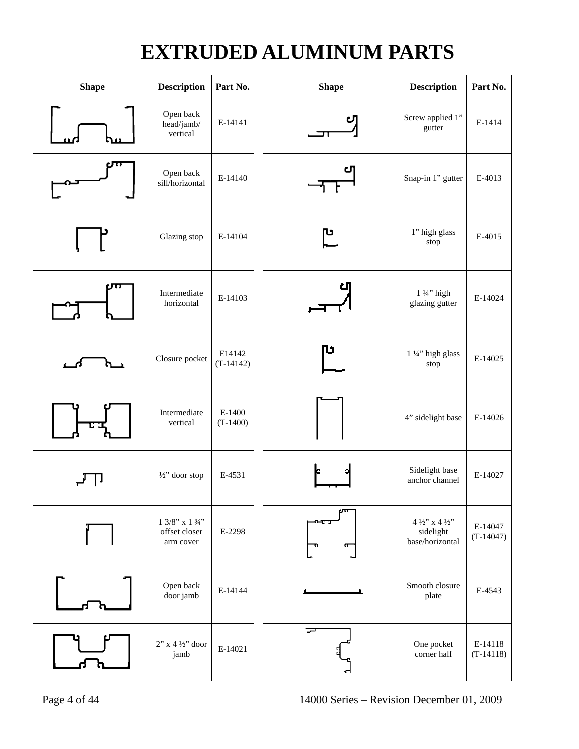## **EXTRUDED ALUMINUM PARTS**

| <b>Shape</b> | <b>Description</b>                                 | Part No.              | <b>Shape</b> | <b>Description</b>                                                                 | Part No.               |
|--------------|----------------------------------------------------|-----------------------|--------------|------------------------------------------------------------------------------------|------------------------|
|              | Open back<br>head/jamb/<br>vertical                | E-14141               |              | Screw applied 1"<br>gutter                                                         | E-1414                 |
|              | Open back<br>sill/horizontal                       | E-14140               |              | Snap-in 1" gutter                                                                  | E-4013                 |
|              | Glazing stop                                       | E-14104               | ပြ           | 1" high glass<br>stop                                                              | E-4015                 |
|              | Intermediate<br>horizontal                         | E-14103               |              | 1 1/4" high<br>glazing gutter                                                      | E-14024                |
|              | Closure pocket                                     | E14142<br>$(T-14142)$ | υ            | 1 1/4" high glass<br>stop                                                          | E-14025                |
|              | Intermediate<br>vertical                           | E-1400<br>$(T-1400)$  |              | 4" sidelight base                                                                  | E-14026                |
|              | $\frac{1}{2}$ " door stop                          | E-4531                |              | Sidelight base<br>anchor channel                                                   | E-14027                |
|              | $1\;3/8"$ x 1 $3/4"$<br>offset closer<br>arm cover | E-2298                | ᡴ            | $4$ $\mathit{!}\gamma$ 'x $4$ $\mathit{!}\gamma$ '<br>sidelight<br>base/horizontal | E-14047<br>$(T-14047)$ |
|              | Open back<br>door jamb                             | E-14144               |              | Smooth closure<br>plate                                                            | E-4543                 |
|              | $2$ " x 4 ½" door<br>jamb                          | E-14021               |              | One pocket<br>corner half                                                          | E-14118<br>$(T-14118)$ |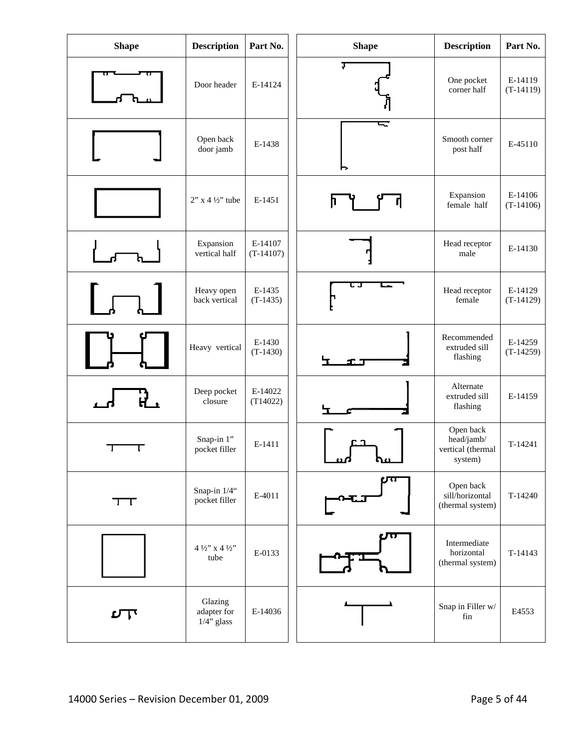| <b>Shape</b> | <b>Description</b>                      | Part No.               | <b>Shape</b> | <b>Description</b>                                      | Part No.               |
|--------------|-----------------------------------------|------------------------|--------------|---------------------------------------------------------|------------------------|
|              | Door header                             | E-14124                | J            | One pocket<br>corner half                               | E-14119<br>$(T-14119)$ |
|              | Open back<br>door jamb                  | E-1438                 | - 1<br>►     | Smooth corner<br>post half                              | E-45110                |
|              | $2$ " x 4 $\frac{1}{2}$ " tube          | E-1451                 |              | Expansion<br>female half                                | E-14106<br>$(T-14106)$ |
|              | Expansion<br>vertical half              | E-14107<br>$(T-14107)$ |              | Head receptor<br>male                                   | E-14130                |
|              | Heavy open<br>back vertical             | E-1435<br>$(T-1435)$   |              | Head receptor<br>female                                 | E-14129<br>$(T-14129)$ |
|              | Heavy vertical                          | E-1430<br>$(T-1430)$   |              | Recommended<br>extruded sill<br>flashing                | E-14259<br>$(T-14259)$ |
|              | Deep pocket<br>closure                  | E-14022<br>(T14022)    |              | Alternate<br>extruded sill<br>flashing                  | E-14159                |
|              | Snap-in 1"<br>pocket filler             | E-1411                 | ൸<br>൷       | Open back<br>head/jamb/<br>vertical (thermal<br>system) | T-14241                |
| $\top$       | Snap-in 1/4"<br>pocket filler           | E-4011                 |              | Open back<br>sill/horizontal<br>(thermal system)        | T-14240                |
|              | $4\frac{1}{2}$ x $4\frac{1}{2}$<br>tube | E-0133                 |              | Intermediate<br>horizontal<br>(thermal system)          | T-14143                |
| ロー           | Glazing<br>adapter for<br>$1/4$ " glass | E-14036                |              | Snap in Filler w/<br>fin                                | E4553                  |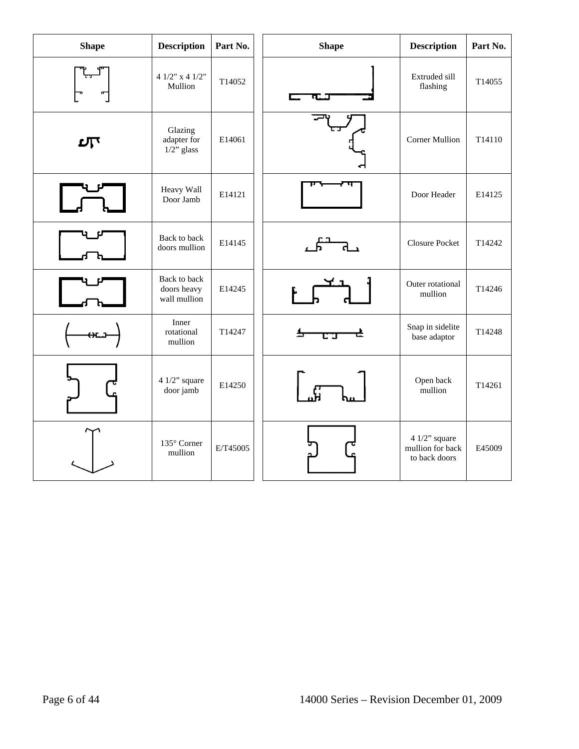| <b>Shape</b> | <b>Description</b>                          | Part No. | <b>Shape</b> | <b>Description</b>                                    | Part No. |
|--------------|---------------------------------------------|----------|--------------|-------------------------------------------------------|----------|
|              | 4 $1/2$ " x 4 $1/2$ "<br>Mullion            | T14052   |              | Extruded sill<br>flashing                             | T14055   |
| பி           | Glazing<br>adapter for<br>$1/2$ " glass     | E14061   |              | <b>Corner Mullion</b>                                 | T14110   |
|              | Heavy Wall<br>Door Jamb                     | E14121   |              | Door Header                                           | E14125   |
|              | Back to back<br>doors mullion               | E14145   |              | <b>Closure Pocket</b>                                 | T14242   |
|              | Back to back<br>doors heavy<br>wall mullion | E14245   |              | Outer rotational<br>mullion                           | T14246   |
|              | Inner<br>rotational<br>mullion              | T14247   |              | Snap in sidelite<br>base adaptor                      | T14248   |
|              | 4 $1/2$ " square<br>door jamb               | E14250   |              | Open back<br>mullion                                  | T14261   |
|              | 135° Corner<br>mullion                      | E/T45005 |              | 4 $1/2$ " square<br>mullion for back<br>to back doors | E45009   |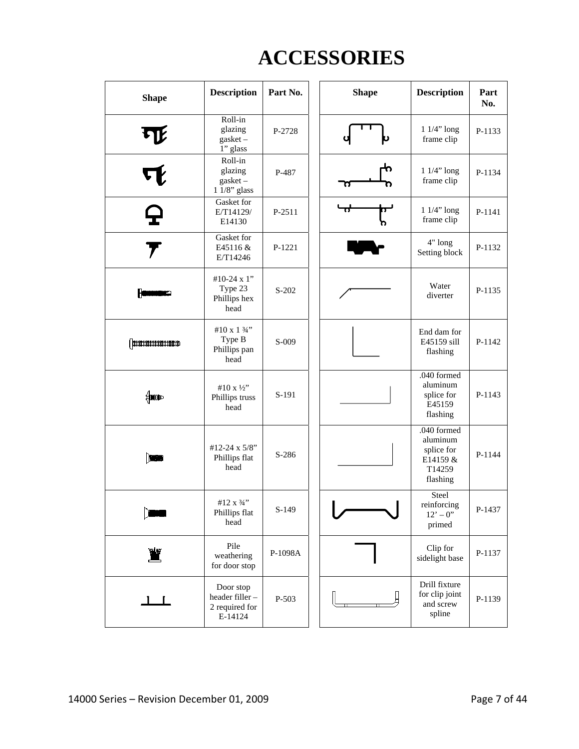## **ACCESSORIES**

| <b>Shape</b> | <b>Description</b>                                        | Part No. | <b>Shape</b> | <b>Description</b>                                                      | Part<br>No. |
|--------------|-----------------------------------------------------------|----------|--------------|-------------------------------------------------------------------------|-------------|
| LR           | Roll-in<br>glazing<br>$gasket -$<br>1" glass              | P-2728   |              | $11/4"$ long<br>frame clip                                              | P-1133      |
|              | Roll-in<br>glazing<br>$gasket -$<br>$11/8$ " glass        | P-487    | П            | $11/4"$ long<br>frame clip                                              | P-1134      |
| ç            | Gasket for<br>E/T14129/<br>E14130                         | P-2511   |              | $11/4"$ long<br>frame clip                                              | P-1141      |
|              | Gasket for<br>E45116 &<br>E/T14246                        | P-1221   |              | 4" long<br>Setting block                                                | P-1132      |
|              | #10-24 x 1"<br>Type 23<br>Phillips hex<br>head            | $S-202$  |              | Water<br>diverter                                                       | P-1135      |
|              | #10 x 1 $\frac{3}{4}$ "<br>Type B<br>Phillips pan<br>head | S-009    |              | End dam for<br>E45159 sill<br>flashing                                  | P-1142      |
| ∰nnono       | #10 x 1/2"<br>Phillips truss<br>head                      | S-191    |              | .040 formed<br>aluminum<br>splice for<br>E45159<br>flashing             | P-1143      |
| H            | #12-24 x 5/8"<br>Phillips flat<br>head                    | S-286    |              | .040 formed<br>aluminum<br>splice for<br>E14159 &<br>T14259<br>flashing | P-1144      |
|              | #12 $x\frac{3}{4}$ "<br>Phillips flat<br>head             | $S-149$  |              | Steel<br>reinforcing<br>$12' - 0''$<br>primed                           | P-1437      |
|              | Pile<br>weathering<br>for door stop                       | P-1098A  |              | Clip for<br>sidelight base                                              | P-1137      |
| $\mathbf{1}$ | Door stop<br>header filler-<br>2 required for<br>E-14124  | P-503    |              | Drill fixture<br>for clip joint<br>and screw<br>spline                  | P-1139      |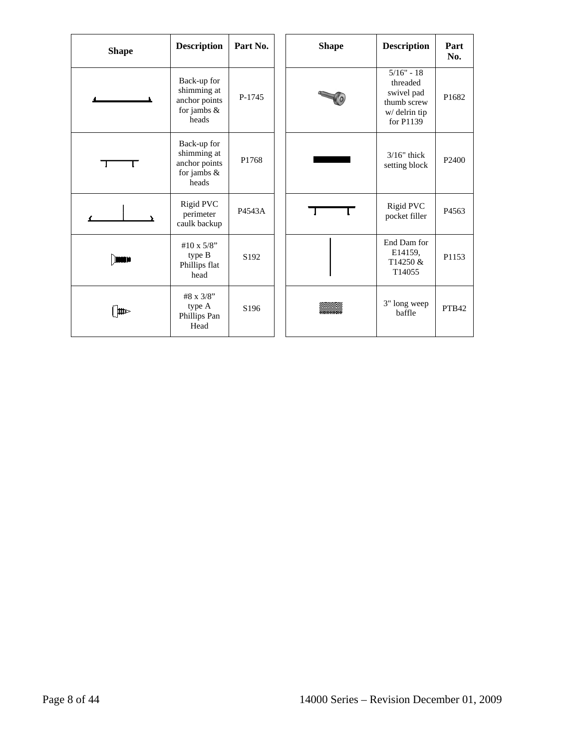| <b>Shape</b> | <b>Description</b>                                                     | Part No.         | <b>Shape</b> | <b>Description</b>                                                                  | Part<br>No.       |
|--------------|------------------------------------------------------------------------|------------------|--------------|-------------------------------------------------------------------------------------|-------------------|
|              | Back-up for<br>shimming at<br>anchor points<br>for jambs $\&$<br>heads | P-1745           |              | $5/16" - 18$<br>threaded<br>swivel pad<br>thumb screw<br>w/ delrin tip<br>for P1139 | P1682             |
| ┐            | Back-up for<br>shimming at<br>anchor points<br>for jambs $\&$<br>heads | P1768            |              | $3/16"$ thick<br>setting block                                                      | P <sub>2400</sub> |
|              | Rigid PVC<br>perimeter<br>caulk backup                                 | P4543A           |              | <b>Rigid PVC</b><br>pocket filler                                                   | P <sub>4563</sub> |
|              | #10 x $5/8$ "<br>type B<br>Phillips flat<br>head                       | S <sub>192</sub> |              | End Dam for<br>E14159.<br>T14250 &<br>T14055                                        | P1153             |
| ▥            | #8 x 3/8"<br>type A<br>Phillips Pan<br>Head                            | S <sub>196</sub> |              | 3" long weep<br>baffle                                                              | PTB42             |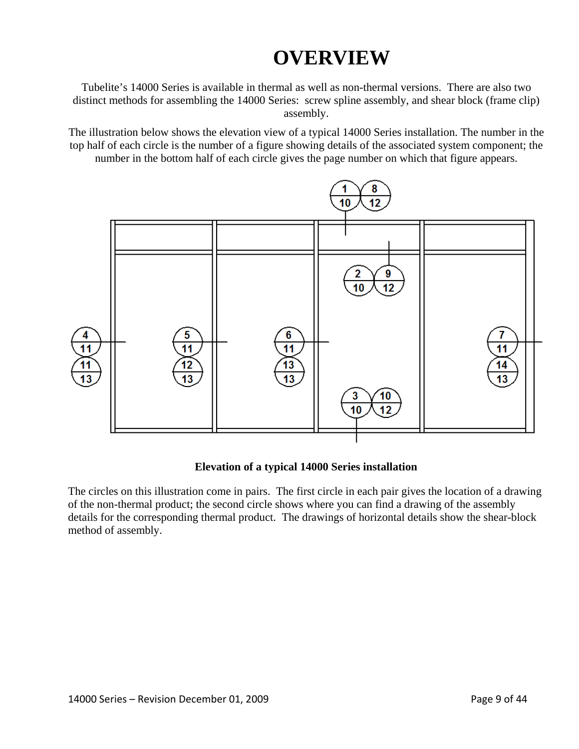## **OVERVIEW**

Tubelite's 14000 Series is available in thermal as well as non-thermal versions. There are also two distinct methods for assembling the 14000 Series: screw spline assembly, and shear block (frame clip) assembly.

The illustration below shows the elevation view of a typical 14000 Series installation. The number in the top half of each circle is the number of a figure showing details of the associated system component; the number in the bottom half of each circle gives the page number on which that figure appears.



#### **Elevation of a typical 14000 Series installation**

The circles on this illustration come in pairs. The first circle in each pair gives the location of a drawing of the non-thermal product; the second circle shows where you can find a drawing of the assembly details for the corresponding thermal product. The drawings of horizontal details show the shear-block method of assembly.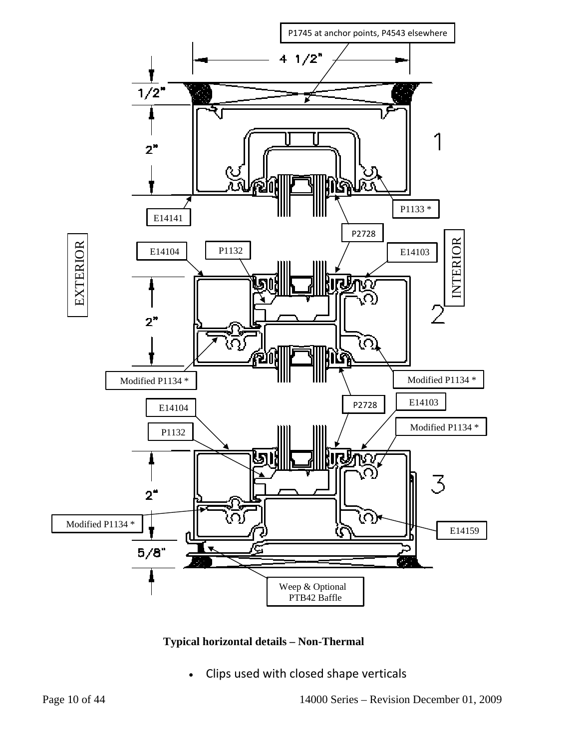

**Typical horizontal details – Non-Thermal** 

• Clips used with closed shape verticals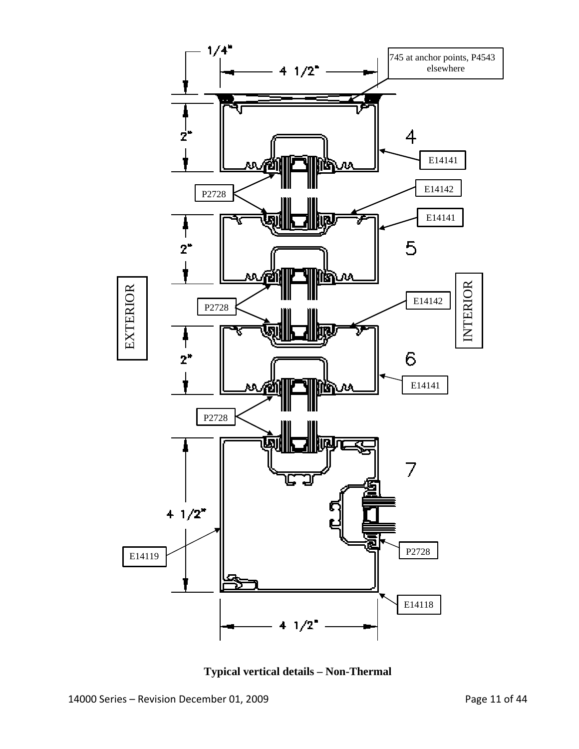

**Typical vertical details – Non-Thermal**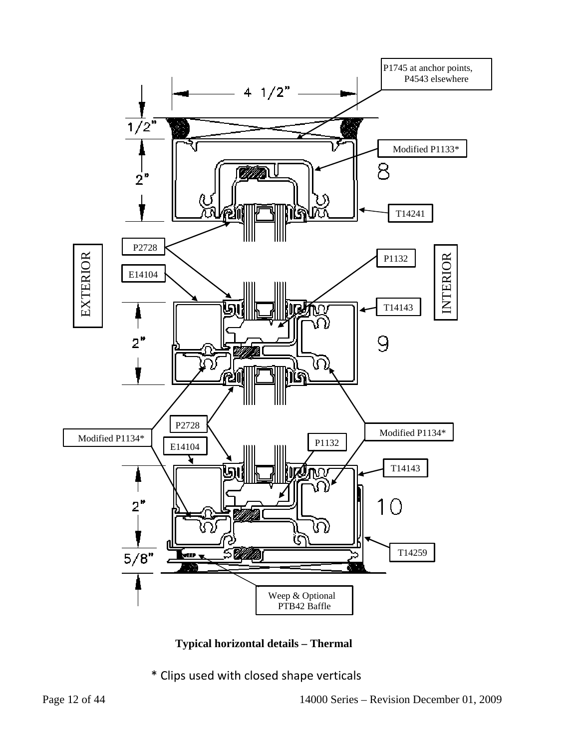

**Typical horizontal details – Thermal** 

\* Clips used with closed shape verticals

Page 12 of 44 14000 Series – Revision December 01, 2009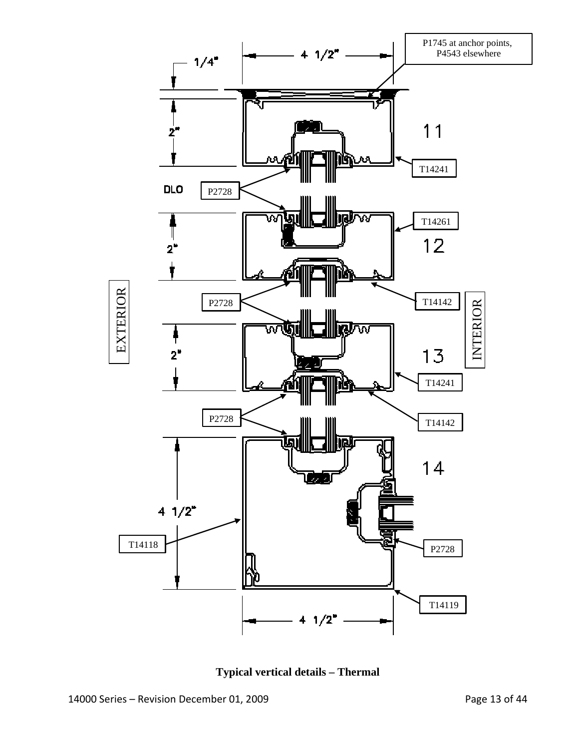

**Typical vertical details – Thermal**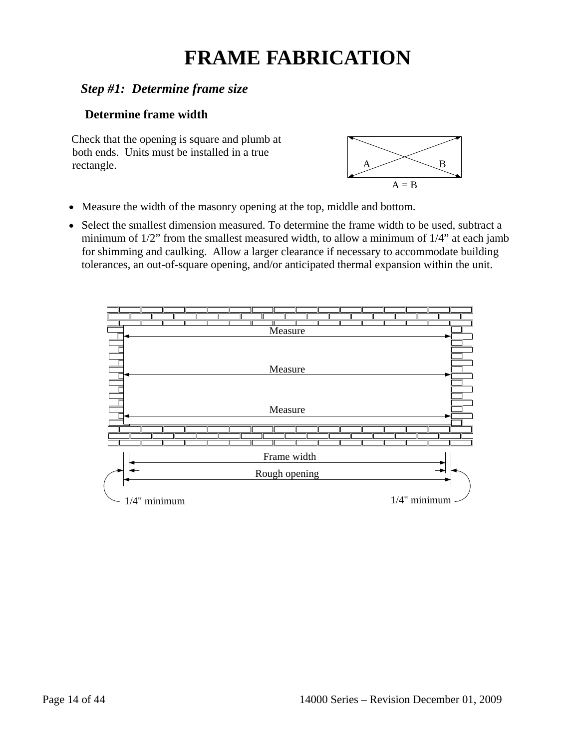## **FRAME FABRICATION**

## *Step #1: Determine frame size*

### **Determine frame width**

Check that the opening is square and plumb at both ends. Units must be installed in a true rectangle.  $A \longrightarrow B$ 



- Measure the width of the masonry opening at the top, middle and bottom.
- Select the smallest dimension measured. To determine the frame width to be used, subtract a minimum of 1/2" from the smallest measured width, to allow a minimum of 1/4" at each jamb for shimming and caulking. Allow a larger clearance if necessary to accommodate building tolerances, an out-of-square opening, and/or anticipated thermal expansion within the unit.

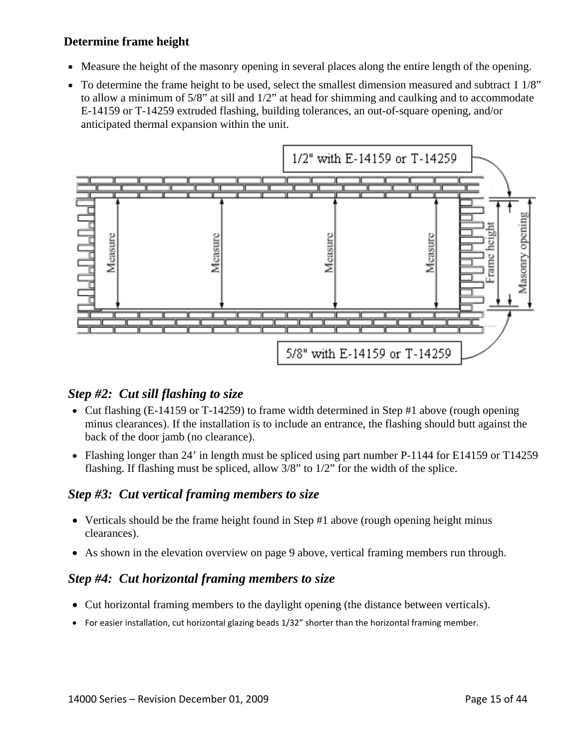#### **Determine frame height**

- Measure the height of the masonry opening in several places along the entire length of the opening.
- To determine the frame height to be used, select the smallest dimension measured and subtract 1 1/8" to allow a minimum of 5/8" at sill and 1/2" at head for shimming and caulking and to accommodate E-14159 or T-14259 extruded flashing, building tolerances, an out-of-square opening, and/or anticipated thermal expansion within the unit.



### *Step #2: Cut sill flashing to size*

- Cut flashing (E-14159 or T-14259) to frame width determined in Step #1 above (rough opening minus clearances). If the installation is to include an entrance, the flashing should butt against the back of the door jamb (no clearance).
- Flashing longer than 24' in length must be spliced using part number P-1144 for E14159 or T14259 flashing. If flashing must be spliced, allow 3/8" to 1/2" for the width of the splice.

#### *Step #3: Cut vertical framing members to size*

- Verticals should be the frame height found in Step #1 above (rough opening height minus clearances).
- As shown in the elevation overview on page 9 above, vertical framing members run through.

## *Step #4: Cut horizontal framing members to size*

- Cut horizontal framing members to the daylight opening (the distance between verticals).
- For easier installation, cut horizontal glazing beads 1/32" shorter than the horizontal framing member.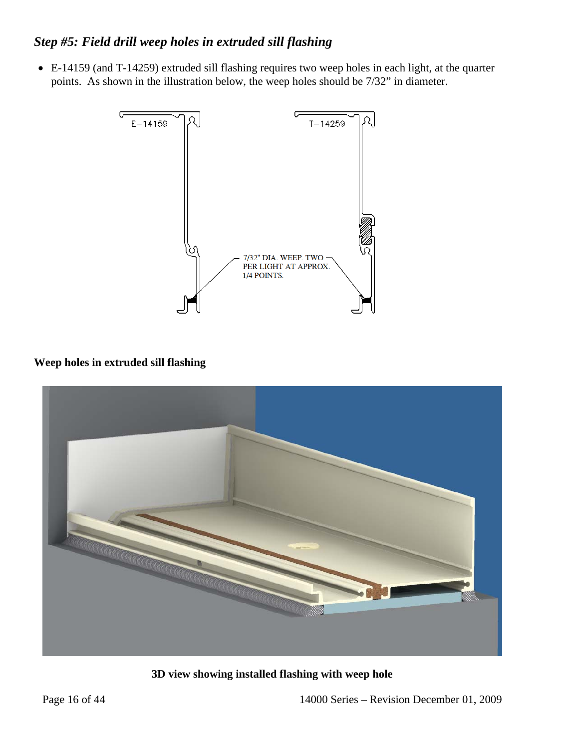## *Step #5: Field drill weep holes in extruded sill flashing*

• E-14159 (and T-14259) extruded sill flashing requires two weep holes in each light, at the quarter points. As shown in the illustration below, the weep holes should be 7/32" in diameter.



#### **Weep holes in extruded sill flashing**



**3D view showing installed flashing with weep hole**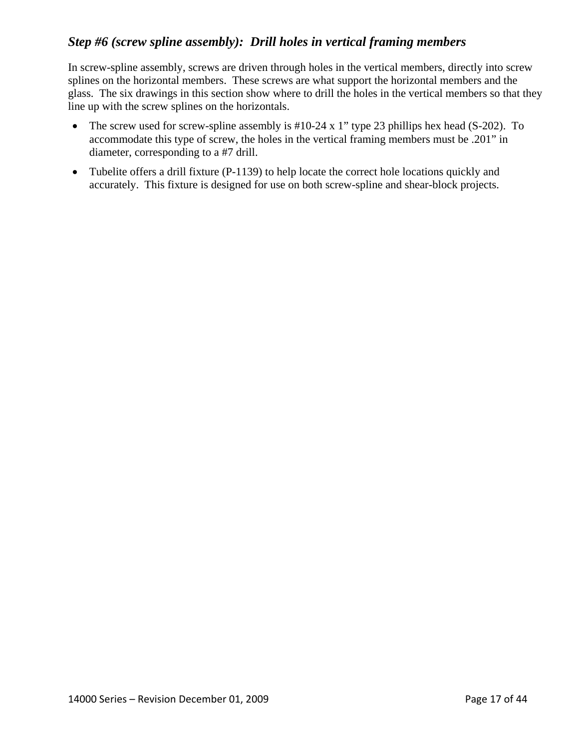## *Step #6 (screw spline assembly): Drill holes in vertical framing members*

In screw-spline assembly, screws are driven through holes in the vertical members, directly into screw splines on the horizontal members. These screws are what support the horizontal members and the glass. The six drawings in this section show where to drill the holes in the vertical members so that they line up with the screw splines on the horizontals.

- The screw used for screw-spline assembly is #10-24 x 1" type 23 phillips hex head (S-202). To accommodate this type of screw, the holes in the vertical framing members must be .201" in diameter, corresponding to a #7 drill.
- Tubelite offers a drill fixture (P-1139) to help locate the correct hole locations quickly and accurately. This fixture is designed for use on both screw-spline and shear-block projects.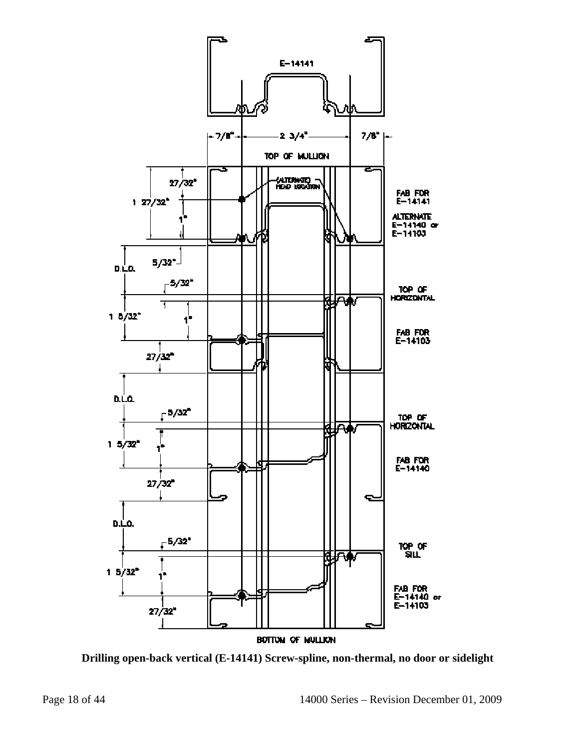

**Drilling open-back vertical (E-14141) Screw-spline, non-thermal, no door or sidelight**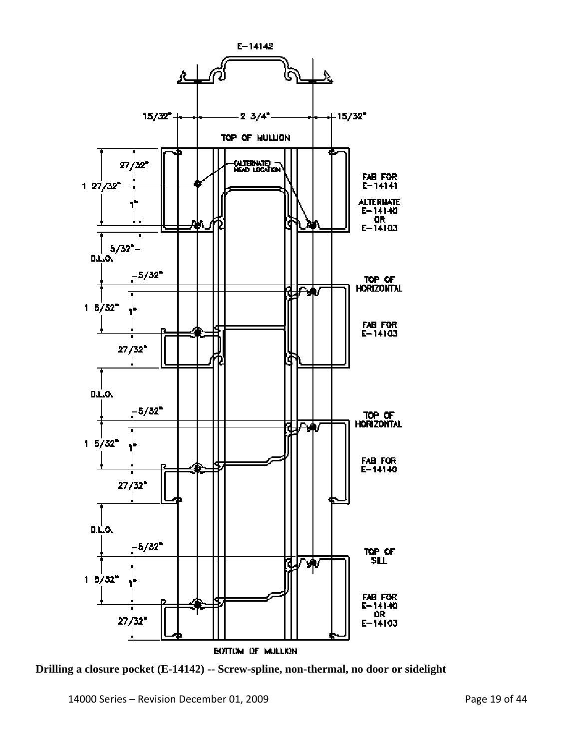

**Drilling a closure pocket (E-14142) -- Screw-spline, non-thermal, no door or sidelight**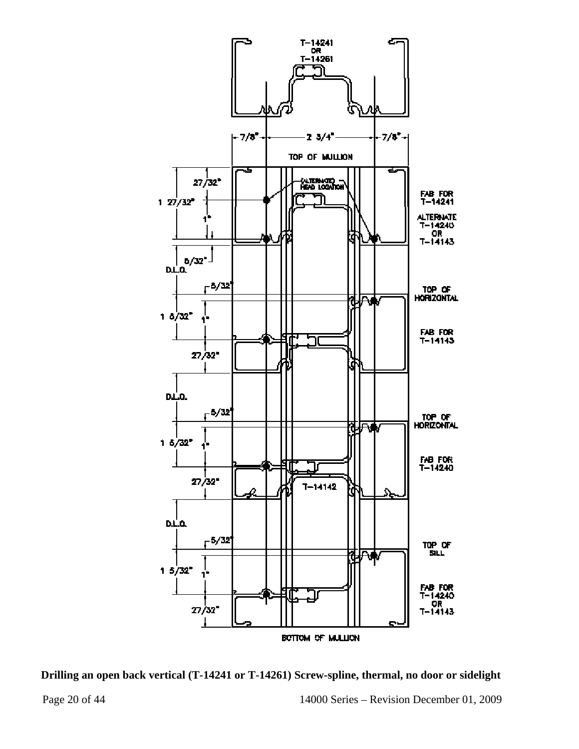



Page 20 of 44 14000 Series – Revision December 01, 2009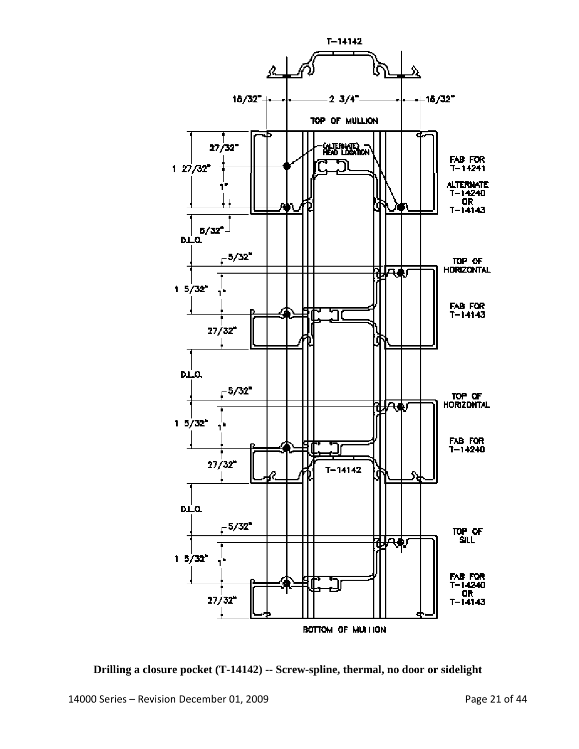

**Drilling a closure pocket (T-14142) -- Screw-spline, thermal, no door or sidelight**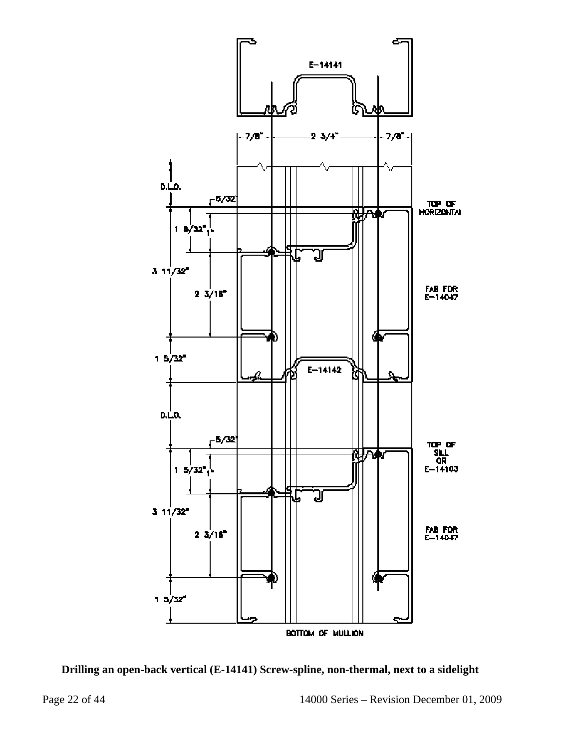

**Drilling an open-back vertical (E-14141) Screw-spline, non-thermal, next to a sidelight**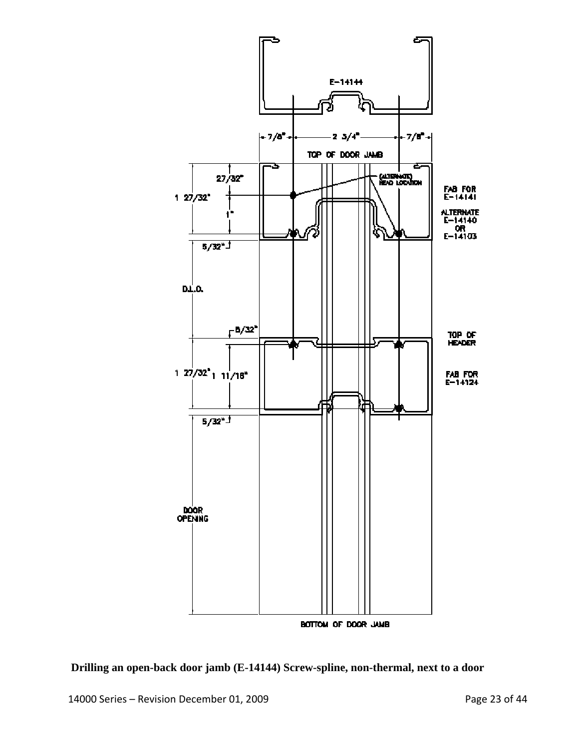

**Drilling an open-back door jamb (E-14144) Screw-spline, non-thermal, next to a door**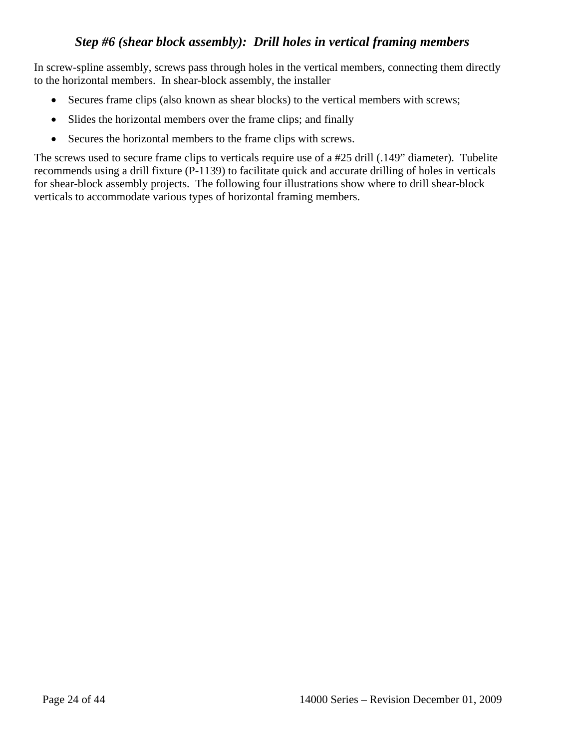### *Step #6 (shear block assembly): Drill holes in vertical framing members*

In screw-spline assembly, screws pass through holes in the vertical members, connecting them directly to the horizontal members. In shear-block assembly, the installer

- Secures frame clips (also known as shear blocks) to the vertical members with screws;
- Slides the horizontal members over the frame clips; and finally
- Secures the horizontal members to the frame clips with screws.

The screws used to secure frame clips to verticals require use of a #25 drill (.149" diameter). Tubelite recommends using a drill fixture (P-1139) to facilitate quick and accurate drilling of holes in verticals for shear-block assembly projects. The following four illustrations show where to drill shear-block verticals to accommodate various types of horizontal framing members.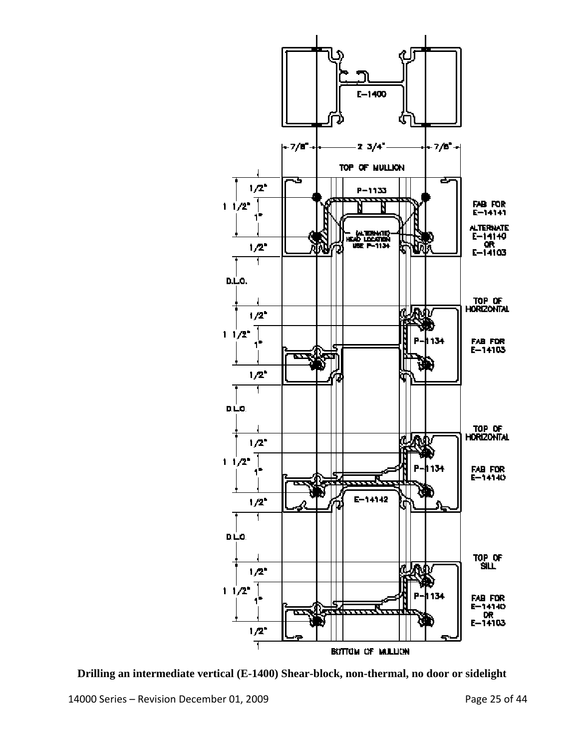

**Drilling an intermediate vertical (E-1400) Shear-block, non-thermal, no door or sidelight**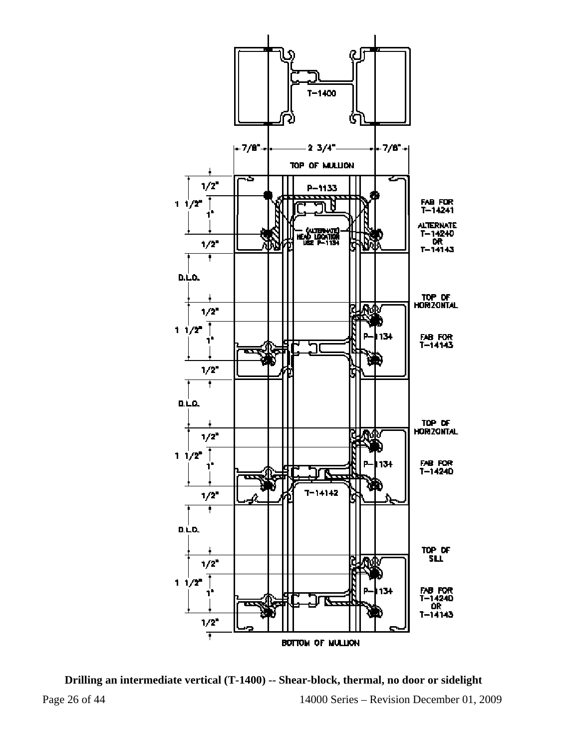

Page 26 of 44 14000 Series – Revision December 01, 2009 **Drilling an intermediate vertical (T-1400) -- Shear-block, thermal, no door or sidelight**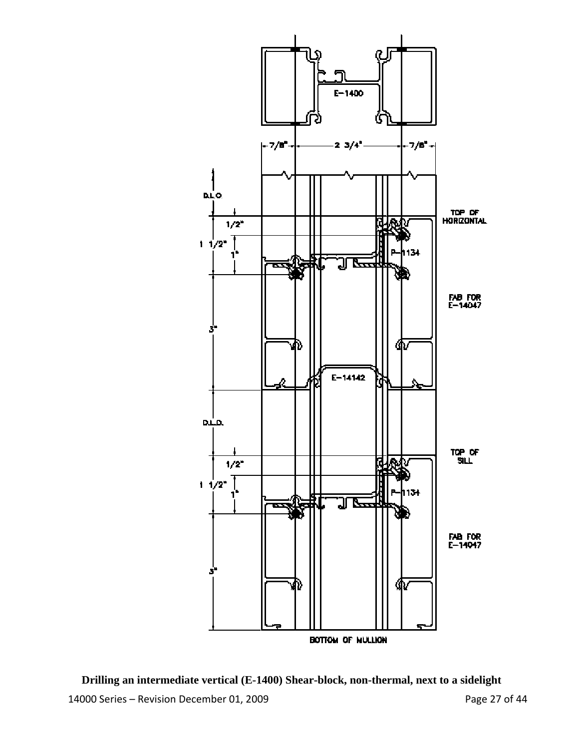

14000 Series – Revision December 01, 2009 Page 27 of 44 **Drilling an intermediate vertical (E-1400) Shear-block, non-thermal, next to a sidelight**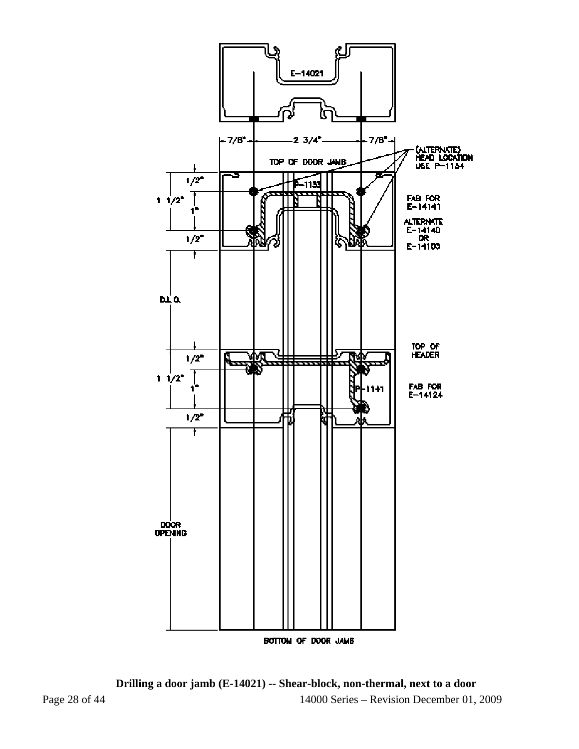

Page 28 of 44 14000 Series – Revision December 01, 2009 **Drilling a door jamb (E-14021) -- Shear-block, non-thermal, next to a door**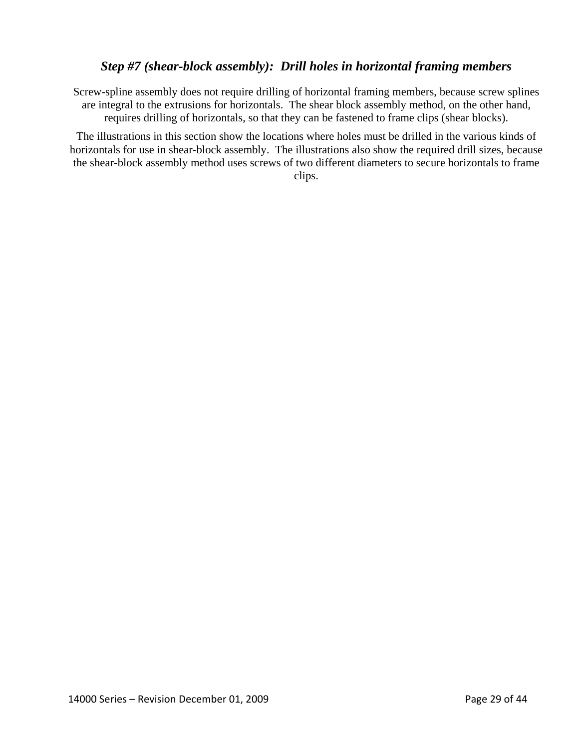### *Step #7 (shear-block assembly): Drill holes in horizontal framing members*

Screw-spline assembly does not require drilling of horizontal framing members, because screw splines are integral to the extrusions for horizontals. The shear block assembly method, on the other hand, requires drilling of horizontals, so that they can be fastened to frame clips (shear blocks).

The illustrations in this section show the locations where holes must be drilled in the various kinds of horizontals for use in shear-block assembly. The illustrations also show the required drill sizes, because the shear-block assembly method uses screws of two different diameters to secure horizontals to frame clips.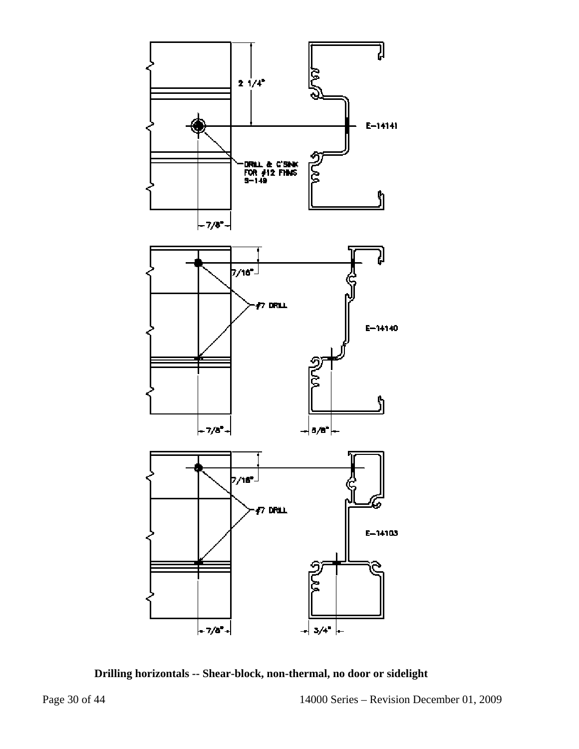

**Drilling horizontals -- Shear-block, non-thermal, no door or sidelight**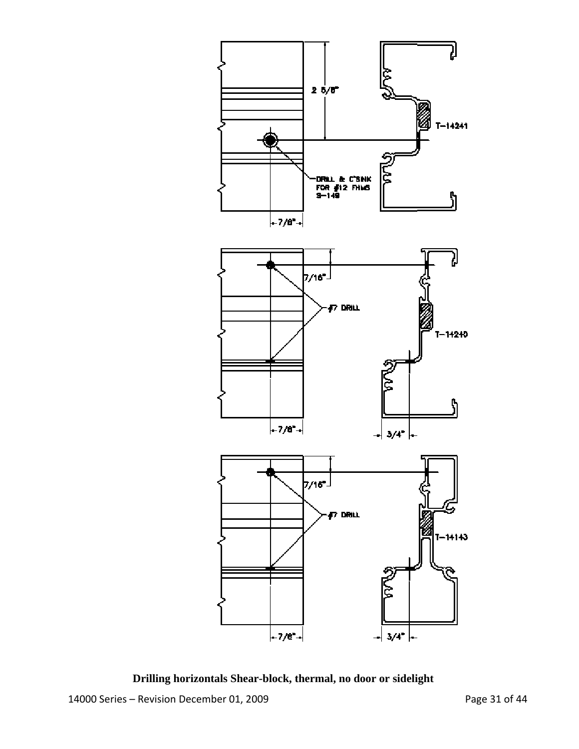

14000 Series – Revision December 01, 2009 Page 31 of 44 **Drilling horizontals Shear-block, thermal, no door or sidelight**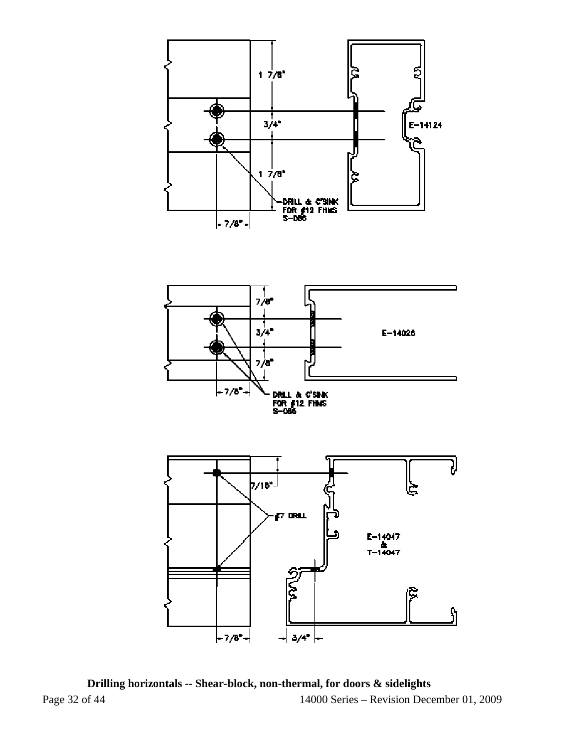



Page 32 of 44 14000 Series – Revision December 01, 2009 **Drilling horizontals -- Shear-block, non-thermal, for doors & sidelights**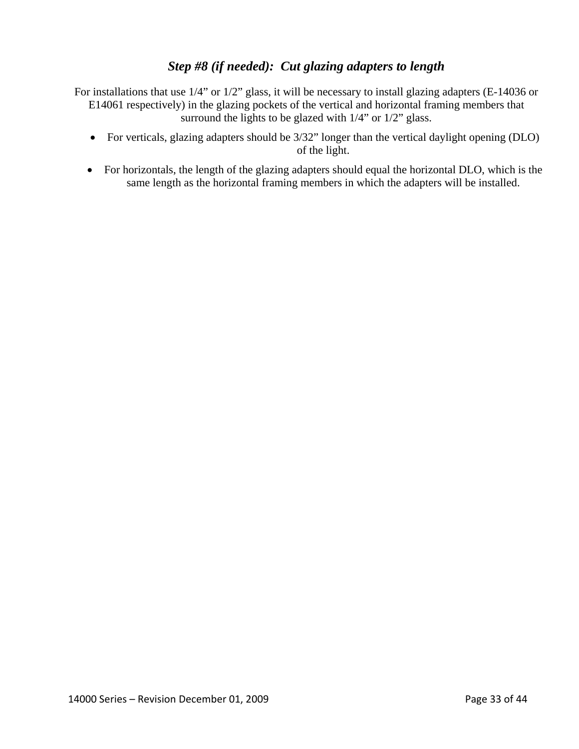## *Step #8 (if needed): Cut glazing adapters to length*

For installations that use 1/4" or 1/2" glass, it will be necessary to install glazing adapters (E-14036 or E14061 respectively) in the glazing pockets of the vertical and horizontal framing members that surround the lights to be glazed with  $1/4$ " or  $1/2$ " glass.

- For verticals, glazing adapters should be  $3/32$ " longer than the vertical daylight opening (DLO) of the light.
- For horizontals, the length of the glazing adapters should equal the horizontal DLO, which is the same length as the horizontal framing members in which the adapters will be installed.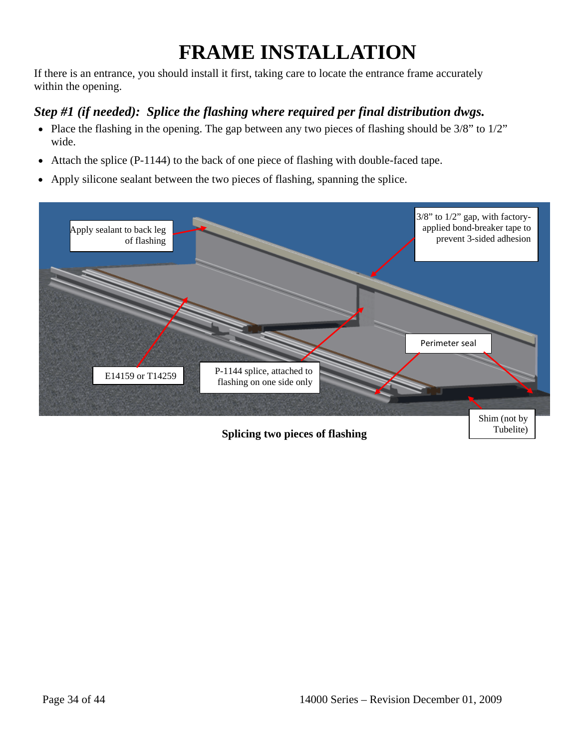## **FRAME INSTALLATION**

If there is an entrance, you should install it first, taking care to locate the entrance frame accurately within the opening.

## *Step #1 (if needed): Splice the flashing where required per final distribution dwgs.*

- Place the flashing in the opening. The gap between any two pieces of flashing should be  $3/8$ " to  $1/2$ " wide.
- Attach the splice (P-1144) to the back of one piece of flashing with double-faced tape.
- Apply silicone sealant between the two pieces of flashing, spanning the splice.

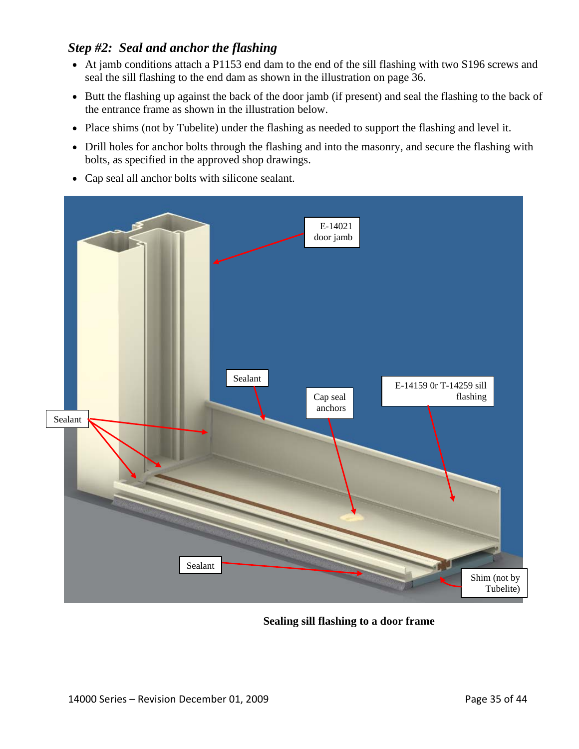## *Step #2: Seal and anchor the flashing*

- At jamb conditions attach a P1153 end dam to the end of the sill flashing with two S196 screws and seal the sill flashing to the end dam as shown in the illustration on page 36.
- Butt the flashing up against the back of the door jamb (if present) and seal the flashing to the back of the entrance frame as shown in the illustration below.
- Place shims (not by Tubelite) under the flashing as needed to support the flashing and level it.
- Drill holes for anchor bolts through the flashing and into the masonry, and secure the flashing with bolts, as specified in the approved shop drawings.
- Cap seal all anchor bolts with silicone sealant.



**Sealing sill flashing to a door frame**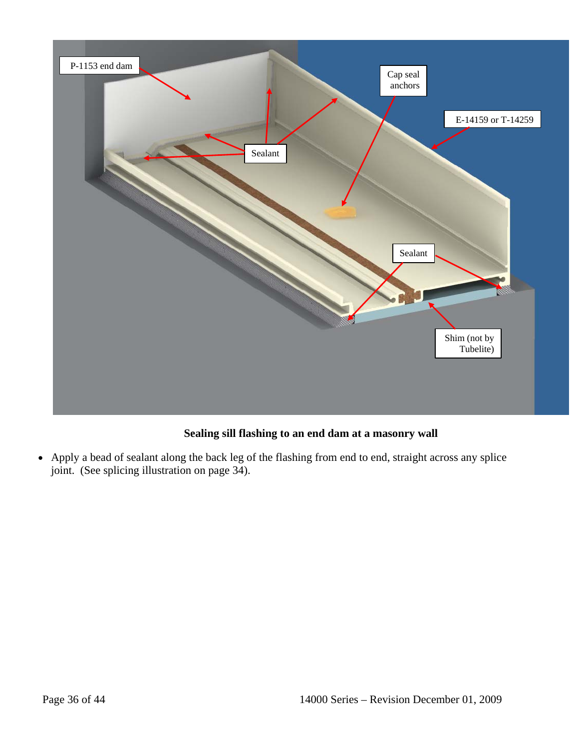

### **Sealing sill flashing to an end dam at a masonry wall**

• Apply a bead of sealant along the back leg of the flashing from end to end, straight across any splice joint. (See splicing illustration on page 34).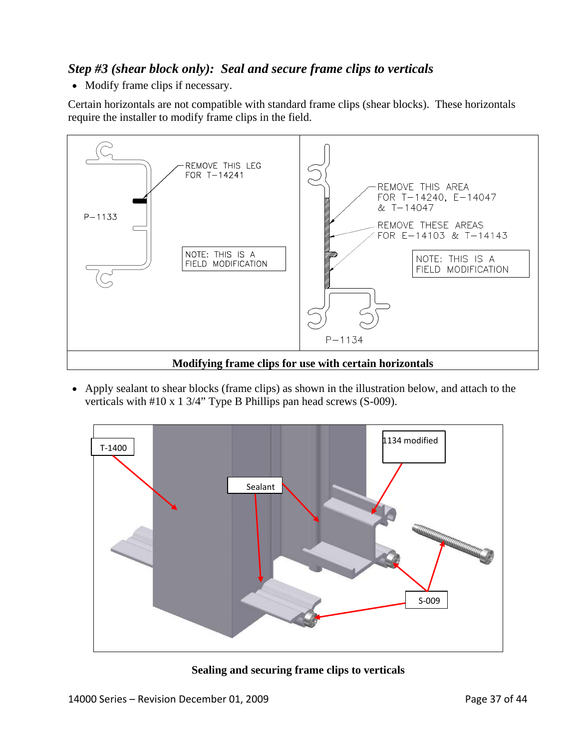## *Step #3 (shear block only): Seal and secure frame clips to verticals*

• Modify frame clips if necessary.

Certain horizontals are not compatible with standard frame clips (shear blocks). These horizontals require the installer to modify frame clips in the field.



• Apply sealant to shear blocks (frame clips) as shown in the illustration below, and attach to the verticals with #10 x 1 3/4" Type B Phillips pan head screws (S-009).



**Sealing and securing frame clips to verticals**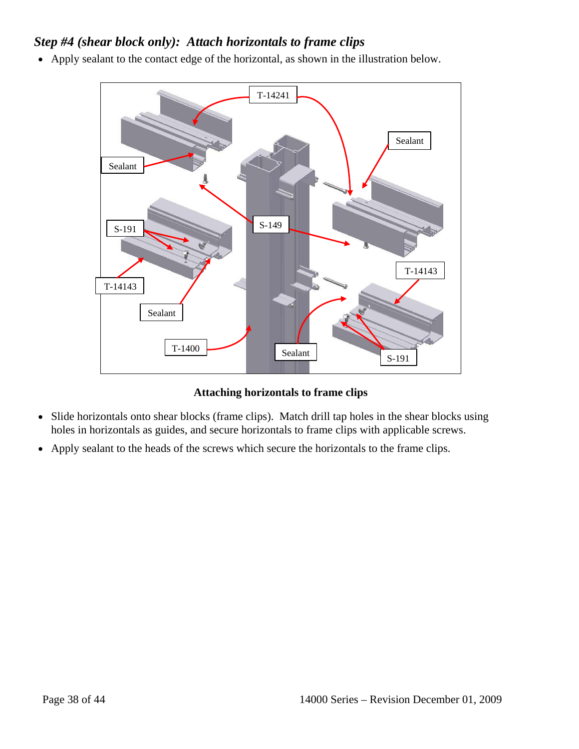## *Step #4 (shear block only): Attach horizontals to frame clips*

• Apply sealant to the contact edge of the horizontal, as shown in the illustration below.



**Attaching horizontals to frame clips** 

- Slide horizontals onto shear blocks (frame clips). Match drill tap holes in the shear blocks using holes in horizontals as guides, and secure horizontals to frame clips with applicable screws.
- Apply sealant to the heads of the screws which secure the horizontals to the frame clips.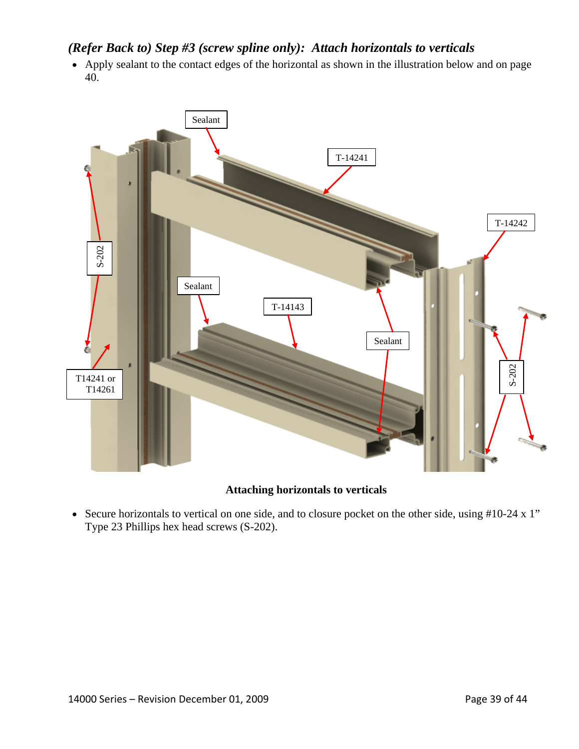### *(Refer Back to) Step #3 (screw spline only): Attach horizontals to verticals*

• Apply sealant to the contact edges of the horizontal as shown in the illustration below and on page 40.



#### **Attaching horizontals to verticals**

• Secure horizontals to vertical on one side, and to closure pocket on the other side, using #10-24 x 1" Type 23 Phillips hex head screws (S-202).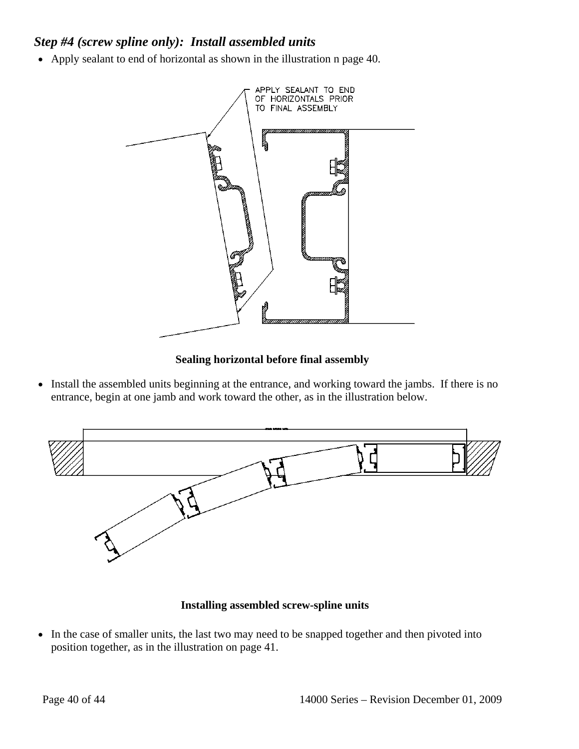## *Step #4 (screw spline only): Install assembled units*

• Apply sealant to end of horizontal as shown in the illustration n page 40.



#### **Sealing horizontal before final assembly**

• Install the assembled units beginning at the entrance, and working toward the jambs. If there is no entrance, begin at one jamb and work toward the other, as in the illustration below.



#### **Installing assembled screw-spline units**

• In the case of smaller units, the last two may need to be snapped together and then pivoted into position together, as in the illustration on page 41.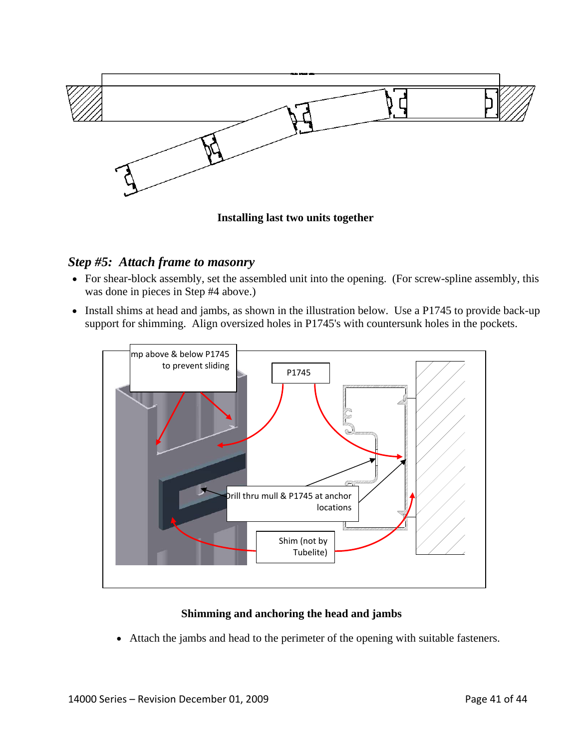

**Installing last two units together** 

### *Step #5: Attach frame to masonry*

- For shear-block assembly, set the assembled unit into the opening. (For screw-spline assembly, this was done in pieces in Step #4 above.)
- Install shims at head and jambs, as shown in the illustration below. Use a P1745 to provide back-up support for shimming. Align oversized holes in P1745's with countersunk holes in the pockets.



#### **Shimming and anchoring the head and jambs**

• Attach the jambs and head to the perimeter of the opening with suitable fasteners.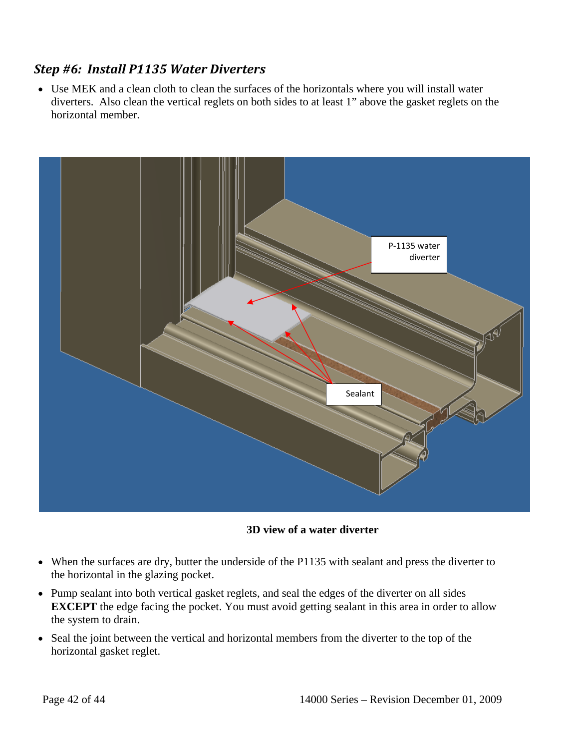## *Step #6: Install P1135 Water Diverters*

• Use MEK and a clean cloth to clean the surfaces of the horizontals where you will install water diverters. Also clean the vertical reglets on both sides to at least 1" above the gasket reglets on the horizontal member.



**3D view of a water diverter** 

- When the surfaces are dry, butter the underside of the P1135 with sealant and press the diverter to the horizontal in the glazing pocket.
- Pump sealant into both vertical gasket reglets, and seal the edges of the diverter on all sides **EXCEPT** the edge facing the pocket. You must avoid getting sealant in this area in order to allow the system to drain.
- Seal the joint between the vertical and horizontal members from the diverter to the top of the horizontal gasket reglet.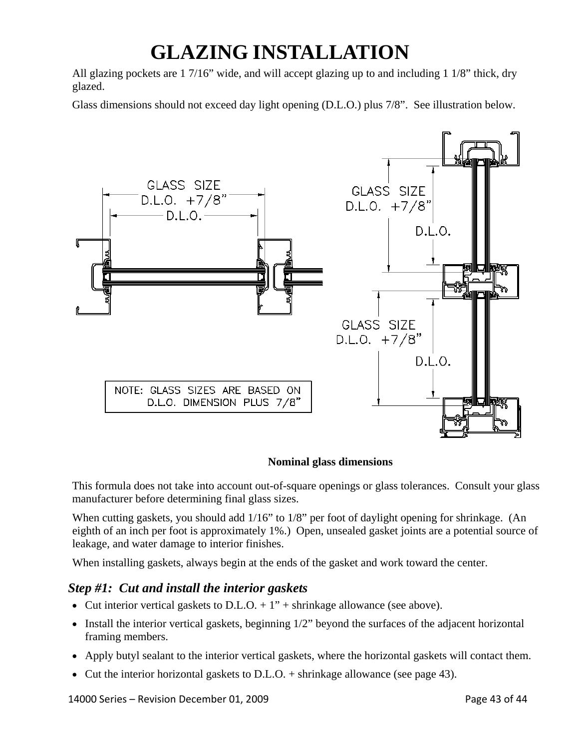## **GLAZING INSTALLATION**

All glazing pockets are 1 7/16" wide, and will accept glazing up to and including 1 1/8" thick, dry glazed.

Glass dimensions should not exceed day light opening (D.L.O.) plus 7/8". See illustration below.



#### **Nominal glass dimensions**

This formula does not take into account out-of-square openings or glass tolerances. Consult your glass manufacturer before determining final glass sizes.

When cutting gaskets, you should add  $1/16$ " to  $1/8$ " per foot of daylight opening for shrinkage. (An eighth of an inch per foot is approximately 1%.) Open, unsealed gasket joints are a potential source of leakage, and water damage to interior finishes.

When installing gaskets, always begin at the ends of the gasket and work toward the center.

### *Step #1: Cut and install the interior gaskets*

- Cut interior vertical gaskets to D.L.O.  $+1$ " + shrinkage allowance (see above).
- Install the interior vertical gaskets, beginning  $1/2$ " beyond the surfaces of the adjacent horizontal framing members.
- Apply butyl sealant to the interior vertical gaskets, where the horizontal gaskets will contact them.
- Cut the interior horizontal gaskets to D.L.O. + shrinkage allowance (see page 43).